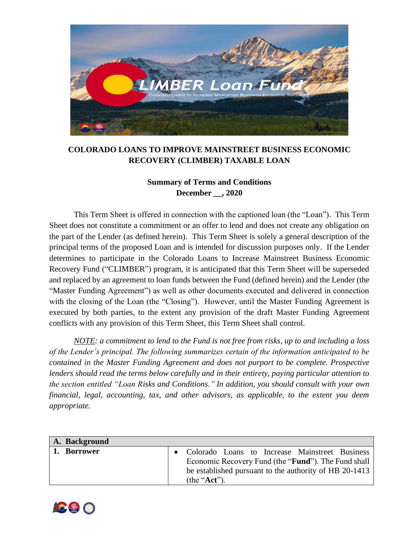

## **COLORADO LOANS TO IMPROVE MAINSTREET BUSINESS ECONOMIC RECOVERY (CLIMBER) TAXABLE LOAN**

## **Summary of Terms and Conditions December \_\_, 2020**

This Term Sheet is offered in connection with the captioned loan (the "Loan"). This Term Sheet does not constitute a commitment or an offer to lend and does not create any obligation on the part of the Lender (as defined herein). This Term Sheet is solely a general description of the principal terms of the proposed Loan and is intended for discussion purposes only. If the Lender determines to participate in the Colorado Loans to Increase Mainstreet Business Economic Recovery Fund ("CLIMBER") program, it is anticipated that this Term Sheet will be superseded and replaced by an agreement to loan funds between the Fund (defined herein) and the Lender (the "Master Funding Agreement") as well as other documents executed and delivered in connection with the closing of the Loan (the "Closing"). However, until the Master Funding Agreement is executed by both parties, to the extent any provision of the draft Master Funding Agreement conflicts with any provision of this Term Sheet, this Term Sheet shall control.

*NOTE: a commitment to lend to the Fund is not free from risks, up to and including a loss of the Lender's principal. The following summarizes certain of the information anticipated to be contained in the Master Funding Agreement and does not purport to be complete. Prospective lenders should read the terms below carefully and in their entirety, paying particular attention to the section entitled "Loan Risks and Conditions." In addition, you should consult with your own financial, legal, accounting, tax, and other advisors, as applicable, to the extent you deem appropriate.*

| A. Background |                                                              |
|---------------|--------------------------------------------------------------|
| 1. Borrower   | Colorado Loans to Increase Mainstreet Business               |
|               | Economic Recovery Fund (the " <b>Fund</b> "). The Fund shall |
|               | be established pursuant to the authority of HB 20-1413       |
|               | (the " $Act$ ").                                             |

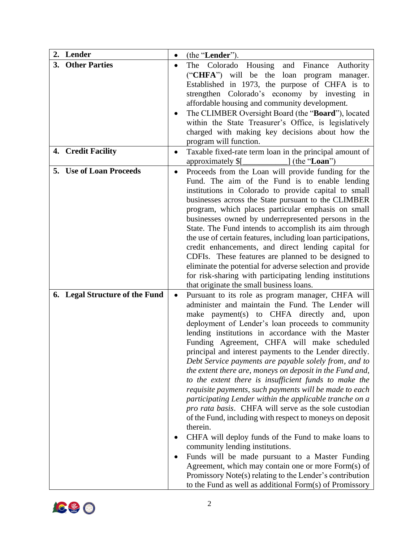| 3. Other Parties<br>The<br>Colorado Housing<br>and Finance<br>Authority<br>("CHFA") will be the<br>loan program manager.<br>Established in 1973, the purpose of CHFA is to<br>strengthen Colorado's economy by investing in<br>affordable housing and community development.<br>The CLIMBER Oversight Board (the "Board"), located<br>within the State Treasurer's Office, is legislatively<br>charged with making key decisions about how the<br>program will function.<br>4. Credit Facility<br>Taxable fixed-rate term loan in the principal amount of<br>$\Box$ (the "Loan")<br>approximately \$[<br>5. Use of Loan Proceeds<br>Proceeds from the Loan will provide funding for the<br>$\bullet$<br>Fund. The aim of the Fund is to enable lending<br>institutions in Colorado to provide capital to small<br>businesses across the State pursuant to the CLIMBER<br>program, which places particular emphasis on small<br>businesses owned by underrepresented persons in the<br>State. The Fund intends to accomplish its aim through |
|---------------------------------------------------------------------------------------------------------------------------------------------------------------------------------------------------------------------------------------------------------------------------------------------------------------------------------------------------------------------------------------------------------------------------------------------------------------------------------------------------------------------------------------------------------------------------------------------------------------------------------------------------------------------------------------------------------------------------------------------------------------------------------------------------------------------------------------------------------------------------------------------------------------------------------------------------------------------------------------------------------------------------------------------|
|                                                                                                                                                                                                                                                                                                                                                                                                                                                                                                                                                                                                                                                                                                                                                                                                                                                                                                                                                                                                                                             |
|                                                                                                                                                                                                                                                                                                                                                                                                                                                                                                                                                                                                                                                                                                                                                                                                                                                                                                                                                                                                                                             |
|                                                                                                                                                                                                                                                                                                                                                                                                                                                                                                                                                                                                                                                                                                                                                                                                                                                                                                                                                                                                                                             |
|                                                                                                                                                                                                                                                                                                                                                                                                                                                                                                                                                                                                                                                                                                                                                                                                                                                                                                                                                                                                                                             |
|                                                                                                                                                                                                                                                                                                                                                                                                                                                                                                                                                                                                                                                                                                                                                                                                                                                                                                                                                                                                                                             |
|                                                                                                                                                                                                                                                                                                                                                                                                                                                                                                                                                                                                                                                                                                                                                                                                                                                                                                                                                                                                                                             |
|                                                                                                                                                                                                                                                                                                                                                                                                                                                                                                                                                                                                                                                                                                                                                                                                                                                                                                                                                                                                                                             |
|                                                                                                                                                                                                                                                                                                                                                                                                                                                                                                                                                                                                                                                                                                                                                                                                                                                                                                                                                                                                                                             |
|                                                                                                                                                                                                                                                                                                                                                                                                                                                                                                                                                                                                                                                                                                                                                                                                                                                                                                                                                                                                                                             |
|                                                                                                                                                                                                                                                                                                                                                                                                                                                                                                                                                                                                                                                                                                                                                                                                                                                                                                                                                                                                                                             |
|                                                                                                                                                                                                                                                                                                                                                                                                                                                                                                                                                                                                                                                                                                                                                                                                                                                                                                                                                                                                                                             |
|                                                                                                                                                                                                                                                                                                                                                                                                                                                                                                                                                                                                                                                                                                                                                                                                                                                                                                                                                                                                                                             |
|                                                                                                                                                                                                                                                                                                                                                                                                                                                                                                                                                                                                                                                                                                                                                                                                                                                                                                                                                                                                                                             |
|                                                                                                                                                                                                                                                                                                                                                                                                                                                                                                                                                                                                                                                                                                                                                                                                                                                                                                                                                                                                                                             |
|                                                                                                                                                                                                                                                                                                                                                                                                                                                                                                                                                                                                                                                                                                                                                                                                                                                                                                                                                                                                                                             |
|                                                                                                                                                                                                                                                                                                                                                                                                                                                                                                                                                                                                                                                                                                                                                                                                                                                                                                                                                                                                                                             |
|                                                                                                                                                                                                                                                                                                                                                                                                                                                                                                                                                                                                                                                                                                                                                                                                                                                                                                                                                                                                                                             |
| the use of certain features, including loan participations,                                                                                                                                                                                                                                                                                                                                                                                                                                                                                                                                                                                                                                                                                                                                                                                                                                                                                                                                                                                 |
| credit enhancements, and direct lending capital for                                                                                                                                                                                                                                                                                                                                                                                                                                                                                                                                                                                                                                                                                                                                                                                                                                                                                                                                                                                         |
| CDFIs. These features are planned to be designed to<br>eliminate the potential for adverse selection and provide                                                                                                                                                                                                                                                                                                                                                                                                                                                                                                                                                                                                                                                                                                                                                                                                                                                                                                                            |
| for risk-sharing with participating lending institutions                                                                                                                                                                                                                                                                                                                                                                                                                                                                                                                                                                                                                                                                                                                                                                                                                                                                                                                                                                                    |
| that originate the small business loans.                                                                                                                                                                                                                                                                                                                                                                                                                                                                                                                                                                                                                                                                                                                                                                                                                                                                                                                                                                                                    |
| 6. Legal Structure of the Fund<br>Pursuant to its role as program manager, CHFA will<br>$\bullet$                                                                                                                                                                                                                                                                                                                                                                                                                                                                                                                                                                                                                                                                                                                                                                                                                                                                                                                                           |
| administer and maintain the Fund. The Lender will                                                                                                                                                                                                                                                                                                                                                                                                                                                                                                                                                                                                                                                                                                                                                                                                                                                                                                                                                                                           |
| make payment(s) to CHFA directly and, upon                                                                                                                                                                                                                                                                                                                                                                                                                                                                                                                                                                                                                                                                                                                                                                                                                                                                                                                                                                                                  |
| deployment of Lender's loan proceeds to community                                                                                                                                                                                                                                                                                                                                                                                                                                                                                                                                                                                                                                                                                                                                                                                                                                                                                                                                                                                           |
| lending institutions in accordance with the Master                                                                                                                                                                                                                                                                                                                                                                                                                                                                                                                                                                                                                                                                                                                                                                                                                                                                                                                                                                                          |
| Funding Agreement, CHFA will make scheduled                                                                                                                                                                                                                                                                                                                                                                                                                                                                                                                                                                                                                                                                                                                                                                                                                                                                                                                                                                                                 |
| principal and interest payments to the Lender directly.                                                                                                                                                                                                                                                                                                                                                                                                                                                                                                                                                                                                                                                                                                                                                                                                                                                                                                                                                                                     |
| Debt Service payments are payable solely from, and to                                                                                                                                                                                                                                                                                                                                                                                                                                                                                                                                                                                                                                                                                                                                                                                                                                                                                                                                                                                       |
| the extent there are, moneys on deposit in the Fund and,                                                                                                                                                                                                                                                                                                                                                                                                                                                                                                                                                                                                                                                                                                                                                                                                                                                                                                                                                                                    |
| to the extent there is insufficient funds to make the                                                                                                                                                                                                                                                                                                                                                                                                                                                                                                                                                                                                                                                                                                                                                                                                                                                                                                                                                                                       |
| requisite payments, such payments will be made to each                                                                                                                                                                                                                                                                                                                                                                                                                                                                                                                                                                                                                                                                                                                                                                                                                                                                                                                                                                                      |
| participating Lender within the applicable tranche on a                                                                                                                                                                                                                                                                                                                                                                                                                                                                                                                                                                                                                                                                                                                                                                                                                                                                                                                                                                                     |
| pro rata basis. CHFA will serve as the sole custodian                                                                                                                                                                                                                                                                                                                                                                                                                                                                                                                                                                                                                                                                                                                                                                                                                                                                                                                                                                                       |
| of the Fund, including with respect to moneys on deposit<br>therein.                                                                                                                                                                                                                                                                                                                                                                                                                                                                                                                                                                                                                                                                                                                                                                                                                                                                                                                                                                        |
|                                                                                                                                                                                                                                                                                                                                                                                                                                                                                                                                                                                                                                                                                                                                                                                                                                                                                                                                                                                                                                             |
| CHFA will deploy funds of the Fund to make loans to                                                                                                                                                                                                                                                                                                                                                                                                                                                                                                                                                                                                                                                                                                                                                                                                                                                                                                                                                                                         |
| community lending institutions.                                                                                                                                                                                                                                                                                                                                                                                                                                                                                                                                                                                                                                                                                                                                                                                                                                                                                                                                                                                                             |
| Funds will be made pursuant to a Master Funding                                                                                                                                                                                                                                                                                                                                                                                                                                                                                                                                                                                                                                                                                                                                                                                                                                                                                                                                                                                             |
| Agreement, which may contain one or more Form(s) of<br>Promissory Note(s) relating to the Lender's contribution                                                                                                                                                                                                                                                                                                                                                                                                                                                                                                                                                                                                                                                                                                                                                                                                                                                                                                                             |
| to the Fund as well as additional Form(s) of Promissory                                                                                                                                                                                                                                                                                                                                                                                                                                                                                                                                                                                                                                                                                                                                                                                                                                                                                                                                                                                     |

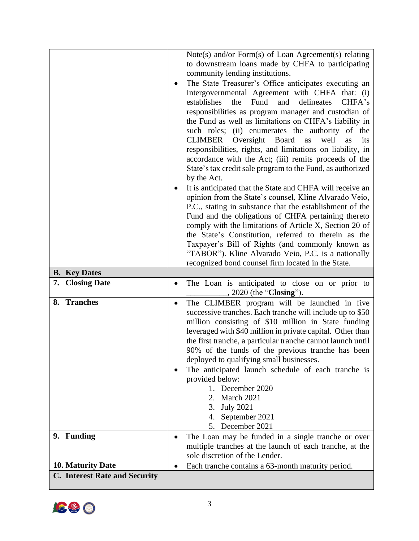|                                                           | Note(s) and/or Form(s) of Loan Agreement(s) relating                                                           |
|-----------------------------------------------------------|----------------------------------------------------------------------------------------------------------------|
|                                                           | to downstream loans made by CHFA to participating<br>community lending institutions.                           |
|                                                           | The State Treasurer's Office anticipates executing an                                                          |
|                                                           | ٠<br>Intergovernmental Agreement with CHFA that: (i)                                                           |
|                                                           | establishes<br>the<br>Fund<br>and<br>delineates<br>CHFA's                                                      |
|                                                           | responsibilities as program manager and custodian of<br>the Fund as well as limitations on CHFA's liability in |
|                                                           | such roles; (ii) enumerates the authority of the                                                               |
|                                                           | CLIMBER<br>Oversight<br>Board<br>well<br>its<br>as<br>as                                                       |
|                                                           | responsibilities, rights, and limitations on liability, in                                                     |
|                                                           | accordance with the Act; (iii) remits proceeds of the                                                          |
|                                                           | State's tax credit sale program to the Fund, as authorized                                                     |
|                                                           | by the Act.                                                                                                    |
|                                                           | It is anticipated that the State and CHFA will receive an                                                      |
|                                                           | opinion from the State's counsel, Kline Alvarado Veio,                                                         |
|                                                           | P.C., stating in substance that the establishment of the                                                       |
|                                                           | Fund and the obligations of CHFA pertaining thereto<br>comply with the limitations of Article X, Section 20 of |
|                                                           | the State's Constitution, referred to therein as the                                                           |
|                                                           | Taxpayer's Bill of Rights (and commonly known as                                                               |
|                                                           | "TABOR"). Kline Alvarado Veio, P.C. is a nationally                                                            |
|                                                           | recognized bond counsel firm located in the State.                                                             |
| <b>B.</b> Key Dates                                       |                                                                                                                |
|                                                           |                                                                                                                |
| 7. Closing Date                                           | The Loan is anticipated to close on or prior to<br>$\bullet$<br>2020 (the "Closing").                          |
| 8. Tranches                                               | The CLIMBER program will be launched in five<br>٠                                                              |
|                                                           | successive tranches. Each tranche will include up to \$50                                                      |
|                                                           | million consisting of \$10 million in State funding                                                            |
|                                                           | leveraged with \$40 million in private capital. Other than                                                     |
|                                                           | the first tranche, a particular tranche cannot launch until                                                    |
|                                                           | 90% of the funds of the previous tranche has been                                                              |
|                                                           | deployed to qualifying small businesses.                                                                       |
|                                                           | The anticipated launch schedule of each tranche is                                                             |
|                                                           | provided below:<br>1. December 2020                                                                            |
|                                                           | March 2021<br>2.                                                                                               |
|                                                           | <b>July 2021</b><br>3.                                                                                         |
|                                                           | September 2021<br>4.                                                                                           |
|                                                           | 5. December 2021                                                                                               |
| 9. Funding                                                | The Loan may be funded in a single tranche or over<br>$\bullet$                                                |
|                                                           | multiple tranches at the launch of each tranche, at the                                                        |
|                                                           | sole discretion of the Lender.                                                                                 |
| 10. Maturity Date<br><b>C.</b> Interest Rate and Security | Each tranche contains a 63-month maturity period.<br>$\bullet$                                                 |

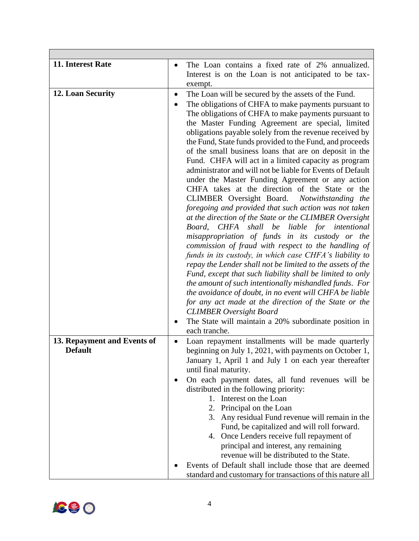| 11. Interest Rate           | The Loan contains a fixed rate of 2% annualized.                                                      |
|-----------------------------|-------------------------------------------------------------------------------------------------------|
|                             | Interest is on the Loan is not anticipated to be tax-                                                 |
|                             | exempt.                                                                                               |
| 12. Loan Security           | The Loan will be secured by the assets of the Fund.<br>٠                                              |
|                             | The obligations of CHFA to make payments pursuant to                                                  |
|                             | The obligations of CHFA to make payments pursuant to                                                  |
|                             | the Master Funding Agreement are special, limited                                                     |
|                             | obligations payable solely from the revenue received by                                               |
|                             | the Fund, State funds provided to the Fund, and proceeds                                              |
|                             | of the small business loans that are on deposit in the                                                |
|                             | Fund. CHFA will act in a limited capacity as program                                                  |
|                             | administrator and will not be liable for Events of Default                                            |
|                             | under the Master Funding Agreement or any action                                                      |
|                             | CHFA takes at the direction of the State or the                                                       |
|                             | CLIMBER Oversight Board. Notwithstanding the<br>foregoing and provided that such action was not taken |
|                             | at the direction of the State or the CLIMBER Oversight                                                |
|                             | CHFA shall be liable for intentional<br>Board,                                                        |
|                             | misappropriation of funds in its custody or the                                                       |
|                             | commission of fraud with respect to the handling of                                                   |
|                             | funds in its custody, in which case CHFA's liability to                                               |
|                             | repay the Lender shall not be limited to the assets of the                                            |
|                             | Fund, except that such liability shall be limited to only                                             |
|                             | the amount of such intentionally mishandled funds. For                                                |
|                             | the avoidance of doubt, in no event will CHFA be liable                                               |
|                             | for any act made at the direction of the State or the                                                 |
|                             | <b>CLIMBER</b> Oversight Board                                                                        |
|                             | The State will maintain a 20% subordinate position in                                                 |
|                             | each tranche.                                                                                         |
| 13. Repayment and Events of | Loan repayment installments will be made quarterly<br>٠                                               |
| <b>Default</b>              | beginning on July 1, 2021, with payments on October 1,                                                |
|                             | January 1, April 1 and July 1 on each year thereafter                                                 |
|                             | until final maturity.                                                                                 |
|                             | On each payment dates, all fund revenues will be<br>distributed in the following priority:            |
|                             | 1. Interest on the Loan                                                                               |
|                             | 2. Principal on the Loan                                                                              |
|                             | 3. Any residual Fund revenue will remain in the                                                       |
|                             | Fund, be capitalized and will roll forward.                                                           |
|                             | 4. Once Lenders receive full repayment of                                                             |
|                             | principal and interest, any remaining                                                                 |
|                             | revenue will be distributed to the State.                                                             |
|                             | Events of Default shall include those that are deemed                                                 |
|                             | standard and customary for transactions of this nature all                                            |

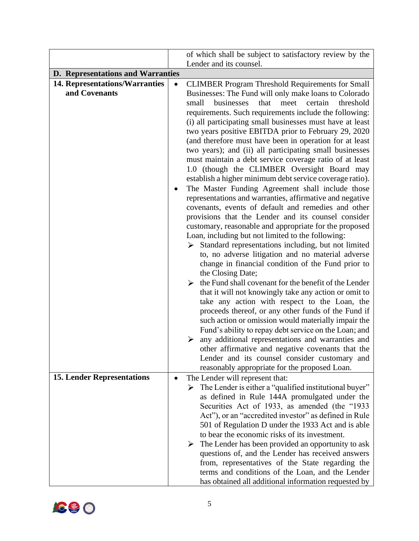|                                          |           | of which shall be subject to satisfactory review by the                                                                                                                                                                                                                                                                                                                                                                                                                                                                                                                                                                                                                                                                                                                                                                                                                                                                                                                                                                                                                                                                                                                                                                                                                                                                                                                                                                                                                                                                                                                                                      |
|------------------------------------------|-----------|--------------------------------------------------------------------------------------------------------------------------------------------------------------------------------------------------------------------------------------------------------------------------------------------------------------------------------------------------------------------------------------------------------------------------------------------------------------------------------------------------------------------------------------------------------------------------------------------------------------------------------------------------------------------------------------------------------------------------------------------------------------------------------------------------------------------------------------------------------------------------------------------------------------------------------------------------------------------------------------------------------------------------------------------------------------------------------------------------------------------------------------------------------------------------------------------------------------------------------------------------------------------------------------------------------------------------------------------------------------------------------------------------------------------------------------------------------------------------------------------------------------------------------------------------------------------------------------------------------------|
|                                          |           | Lender and its counsel.                                                                                                                                                                                                                                                                                                                                                                                                                                                                                                                                                                                                                                                                                                                                                                                                                                                                                                                                                                                                                                                                                                                                                                                                                                                                                                                                                                                                                                                                                                                                                                                      |
| <b>D.</b> Representations and Warranties |           |                                                                                                                                                                                                                                                                                                                                                                                                                                                                                                                                                                                                                                                                                                                                                                                                                                                                                                                                                                                                                                                                                                                                                                                                                                                                                                                                                                                                                                                                                                                                                                                                              |
| <b>14. Representations/Warranties</b>    |           |                                                                                                                                                                                                                                                                                                                                                                                                                                                                                                                                                                                                                                                                                                                                                                                                                                                                                                                                                                                                                                                                                                                                                                                                                                                                                                                                                                                                                                                                                                                                                                                                              |
| and Covenants                            |           | <b>CLIMBER Program Threshold Requirements for Small</b><br>Businesses: The Fund will only make loans to Colorado<br>that<br>meet<br>certain<br>small<br>businesses<br>threshold<br>requirements. Such requirements include the following:<br>(i) all participating small businesses must have at least<br>two years positive EBITDA prior to February 29, 2020<br>(and therefore must have been in operation for at least<br>two years); and (ii) all participating small businesses<br>must maintain a debt service coverage ratio of at least<br>1.0 (though the CLIMBER Oversight Board may<br>establish a higher minimum debt service coverage ratio).<br>The Master Funding Agreement shall include those<br>representations and warranties, affirmative and negative<br>covenants, events of default and remedies and other<br>provisions that the Lender and its counsel consider<br>customary, reasonable and appropriate for the proposed<br>Loan, including but not limited to the following:<br>Standard representations including, but not limited<br>➤<br>to, no adverse litigation and no material adverse<br>change in financial condition of the Fund prior to<br>the Closing Date;<br>the Fund shall covenant for the benefit of the Lender<br>➤<br>that it will not knowingly take any action or omit to<br>take any action with respect to the Loan, the<br>proceeds thereof, or any other funds of the Fund if<br>such action or omission would materially impair the<br>Fund's ability to repay debt service on the Loan; and<br>any additional representations and warranties and<br>➤ |
|                                          |           | other affirmative and negative covenants that the<br>Lender and its counsel consider customary and                                                                                                                                                                                                                                                                                                                                                                                                                                                                                                                                                                                                                                                                                                                                                                                                                                                                                                                                                                                                                                                                                                                                                                                                                                                                                                                                                                                                                                                                                                           |
|                                          |           | reasonably appropriate for the proposed Loan.                                                                                                                                                                                                                                                                                                                                                                                                                                                                                                                                                                                                                                                                                                                                                                                                                                                                                                                                                                                                                                                                                                                                                                                                                                                                                                                                                                                                                                                                                                                                                                |
| <b>15. Lender Representations</b>        | $\bullet$ | The Lender will represent that:<br>$\triangleright$ The Lender is either a "qualified institutional buyer"<br>as defined in Rule 144A promulgated under the<br>Securities Act of 1933, as amended (the "1933<br>Act"), or an "accredited investor" as defined in Rule<br>501 of Regulation D under the 1933 Act and is able<br>to bear the economic risks of its investment.<br>The Lender has been provided an opportunity to ask<br>➤<br>questions of, and the Lender has received answers<br>from, representatives of the State regarding the<br>terms and conditions of the Loan, and the Lender<br>has obtained all additional information requested by                                                                                                                                                                                                                                                                                                                                                                                                                                                                                                                                                                                                                                                                                                                                                                                                                                                                                                                                                 |

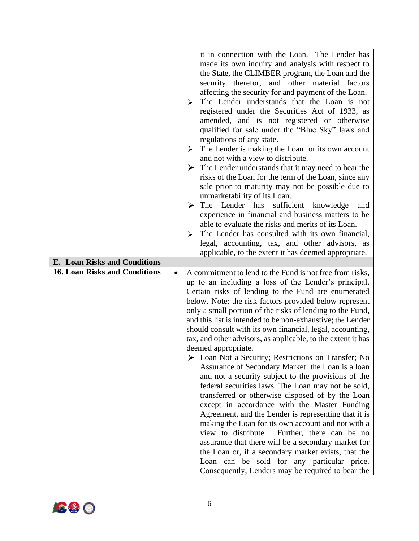| <b>E.</b> Loan Risks and Conditions  | it in connection with the Loan. The Lender has<br>made its own inquiry and analysis with respect to<br>the State, the CLIMBER program, the Loan and the<br>security therefor, and other material factors<br>affecting the security for and payment of the Loan.<br>The Lender understands that the Loan is not<br>➤<br>registered under the Securities Act of 1933, as<br>amended, and is not registered or otherwise<br>qualified for sale under the "Blue Sky" laws and<br>regulations of any state.<br>$\triangleright$ The Lender is making the Loan for its own account<br>and not with a view to distribute.<br>The Lender understands that it may need to bear the<br>➤<br>risks of the Loan for the term of the Loan, since any<br>sale prior to maturity may not be possible due to<br>unmarketability of its Loan.<br>sufficient knowledge<br>The Lender has<br>➤<br>and<br>experience in financial and business matters to be<br>able to evaluate the risks and merits of its Loan.<br>The Lender has consulted with its own financial,<br>⋗<br>legal, accounting, tax, and other advisors, as<br>applicable, to the extent it has deemed appropriate.                                                                          |
|--------------------------------------|--------------------------------------------------------------------------------------------------------------------------------------------------------------------------------------------------------------------------------------------------------------------------------------------------------------------------------------------------------------------------------------------------------------------------------------------------------------------------------------------------------------------------------------------------------------------------------------------------------------------------------------------------------------------------------------------------------------------------------------------------------------------------------------------------------------------------------------------------------------------------------------------------------------------------------------------------------------------------------------------------------------------------------------------------------------------------------------------------------------------------------------------------------------------------------------------------------------------------------------------|
| <b>16. Loan Risks and Conditions</b> | A commitment to lend to the Fund is not free from risks,<br>$\bullet$<br>up to an including a loss of the Lender's principal.<br>Certain risks of lending to the Fund are enumerated<br>below. Note: the risk factors provided below represent<br>only a small portion of the risks of lending to the Fund,<br>and this list is intended to be non-exhaustive; the Lender<br>should consult with its own financial, legal, accounting,<br>tax, and other advisors, as applicable, to the extent it has<br>deemed appropriate.<br>Loan Not a Security; Restrictions on Transfer; No<br>Assurance of Secondary Market: the Loan is a loan<br>and not a security subject to the provisions of the<br>federal securities laws. The Loan may not be sold,<br>transferred or otherwise disposed of by the Loan<br>except in accordance with the Master Funding<br>Agreement, and the Lender is representing that it is<br>making the Loan for its own account and not with a<br>Further, there can be no<br>view to distribute.<br>assurance that there will be a secondary market for<br>the Loan or, if a secondary market exists, that the<br>Loan can be sold for any particular price.<br>Consequently, Lenders may be required to bear the |

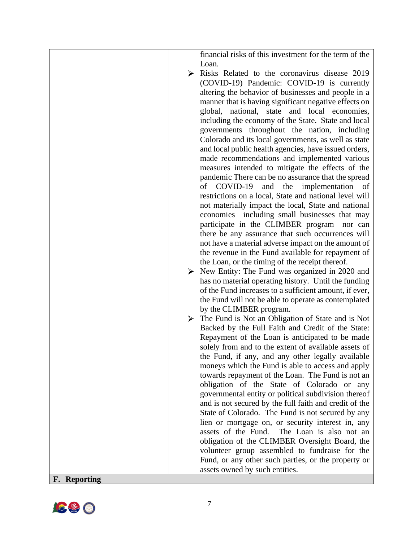|                     | financial risks of this investment for the term of the |
|---------------------|--------------------------------------------------------|
|                     | Loan.                                                  |
|                     | Risks Related to the coronavirus disease 2019<br>➤     |
|                     | (COVID-19) Pandemic: COVID-19 is currently             |
|                     | altering the behavior of businesses and people in a    |
|                     | manner that is having significant negative effects on  |
|                     | global, national, state and local economies,           |
|                     | including the economy of the State. State and local    |
|                     | governments throughout the nation, including           |
|                     | Colorado and its local governments, as well as state   |
|                     | and local public health agencies, have issued orders,  |
|                     | made recommendations and implemented various           |
|                     | measures intended to mitigate the effects of the       |
|                     | pandemic There can be no assurance that the spread     |
|                     | of COVID-19<br>and<br>the<br>implementation<br>of      |
|                     | restrictions on a local, State and national level will |
|                     | not materially impact the local, State and national    |
|                     | economies—including small businesses that may          |
|                     | participate in the CLIMBER program—nor can             |
|                     | there be any assurance that such occurrences will      |
|                     | not have a material adverse impact on the amount of    |
|                     | the revenue in the Fund available for repayment of     |
|                     | the Loan, or the timing of the receipt thereof.        |
|                     | New Entity: The Fund was organized in 2020 and<br>≻    |
|                     | has no material operating history. Until the funding   |
|                     | of the Fund increases to a sufficient amount, if ever, |
|                     | the Fund will not be able to operate as contemplated   |
|                     | by the CLIMBER program.                                |
|                     | The Fund is Not an Obligation of State and is Not      |
|                     | Backed by the Full Faith and Credit of the State:      |
|                     | Repayment of the Loan is anticipated to be made        |
|                     | solely from and to the extent of available assets of   |
|                     | the Fund, if any, and any other legally available      |
|                     | moneys which the Fund is able to access and apply      |
|                     | towards repayment of the Loan. The Fund is not an      |
|                     | obligation of the State of Colorado or any             |
|                     | governmental entity or political subdivision thereof   |
|                     | and is not secured by the full faith and credit of the |
|                     | State of Colorado. The Fund is not secured by any      |
|                     | lien or mortgage on, or security interest in, any      |
|                     | assets of the Fund.<br>The Loan is also not an         |
|                     | obligation of the CLIMBER Oversight Board, the         |
|                     | volunteer group assembled to fundraise for the         |
|                     | Fund, or any other such parties, or the property or    |
|                     | assets owned by such entities.                         |
| <b>F.</b> Reporting |                                                        |